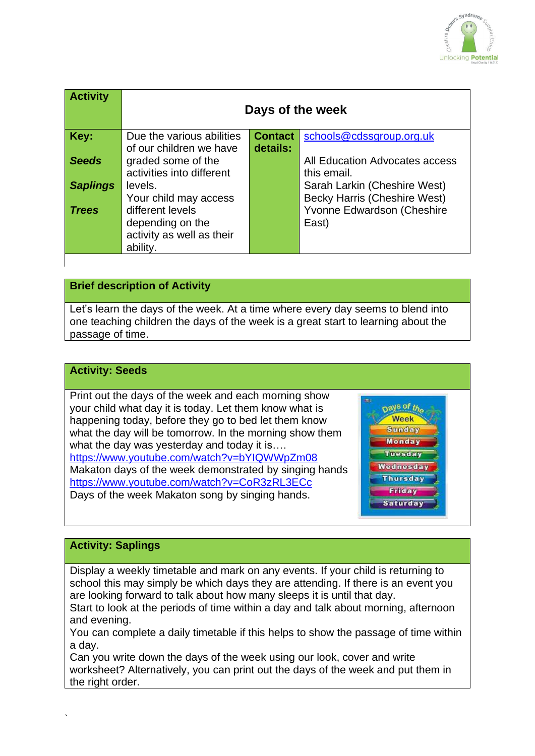

| <b>Activity</b> | Days of the week          |                |                                     |
|-----------------|---------------------------|----------------|-------------------------------------|
| Key:            | Due the various abilities | <b>Contact</b> | schools@cdssgroup.org.uk            |
|                 | of our children we have   | details:       |                                     |
| <b>Seeds</b>    | graded some of the        |                | All Education Advocates access      |
|                 | activities into different |                | this email.                         |
| <b>Saplings</b> | levels.                   |                | Sarah Larkin (Cheshire West)        |
|                 | Your child may access     |                | <b>Becky Harris (Cheshire West)</b> |
| <b>Trees</b>    | different levels          |                | Yvonne Edwardson (Cheshire          |
|                 | depending on the          |                | East)                               |
|                 | activity as well as their |                |                                     |
|                 | ability.                  |                |                                     |

### **Brief description of Activity**

Let's learn the days of the week. At a time where every day seems to blend into one teaching children the days of the week is a great start to learning about the passage of time.

#### **Activity: Seeds**

Print out the days of the week and each morning show your child what day it is today. Let them know what is happening today, before they go to bed let them know what the day will be tomorrow. In the morning show them what the day was yesterday and today it is.... <https://www.youtube.com/watch?v=bYIQWWpZm08> Makaton days of the week demonstrated by singing hands <https://www.youtube.com/watch?v=CoR3zRL3ECc> Days of the week Makaton song by singing hands.



#### **Activity: Saplings**

Display a weekly timetable and mark on any events. If your child is returning to school this may simply be which days they are attending. If there is an event you are looking forward to talk about how many sleeps it is until that day.

Start to look at the periods of time within a day and talk about morning, afternoon and evening.

You can complete a daily timetable if this helps to show the passage of time within a day.

Can you write down the days of the week using our look, cover and write worksheet? Alternatively, you can print out the days of the week and put them in the right order.